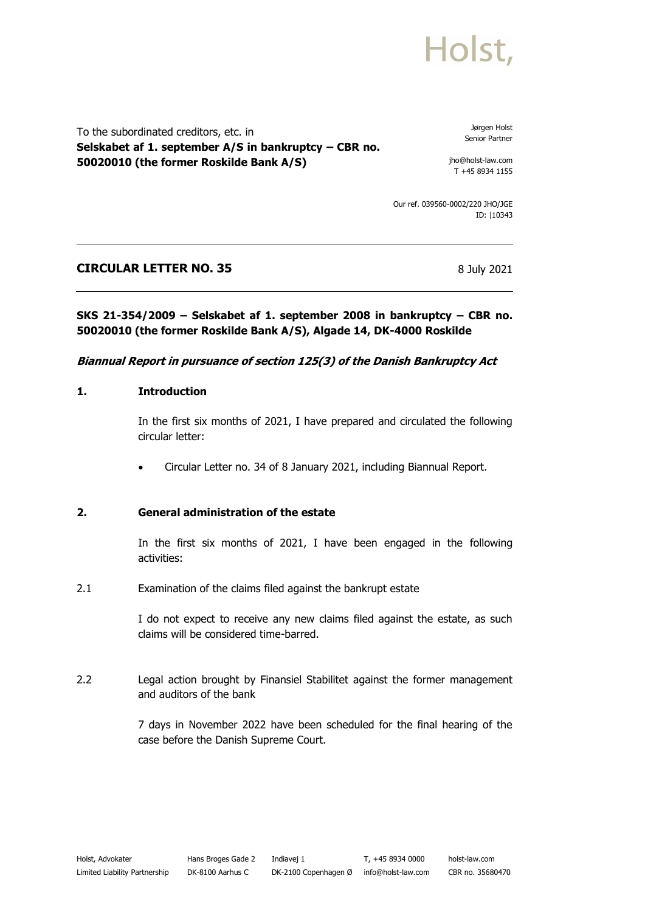# Holst.

To the subordinated creditors, etc. in **Selskabet af 1. september A/S in bankruptcy – CBR no. 50020010 (the former Roskilde Bank A/S)**

Jørgen Holst Senior Partner

jho@holst-law.com T +45 8934 1155

Our ref. 039560-0002/220 JHO/JGE ID: |10343

## **CIRCULAR LETTER NO. 35** 8 July 2021

### **SKS 21-354/2009 – Selskabet af 1. september 2008 in bankruptcy – CBR no. 50020010 (the former Roskilde Bank A/S), Algade 14, DK-4000 Roskilde**

### **Biannual Report in pursuance of section 125(3) of the Danish Bankruptcy Act**

#### **1. Introduction**

In the first six months of 2021, I have prepared and circulated the following circular letter:

• Circular Letter no. 34 of 8 January 2021, including Biannual Report.

#### **2. General administration of the estate**

In the first six months of 2021, I have been engaged in the following activities:

2.1 Examination of the claims filed against the bankrupt estate

I do not expect to receive any new claims filed against the estate, as such claims will be considered time-barred.

2.2 Legal action brought by Finansiel Stabilitet against the former management and auditors of the bank

> 7 days in November 2022 have been scheduled for the final hearing of the case before the Danish Supreme Court.